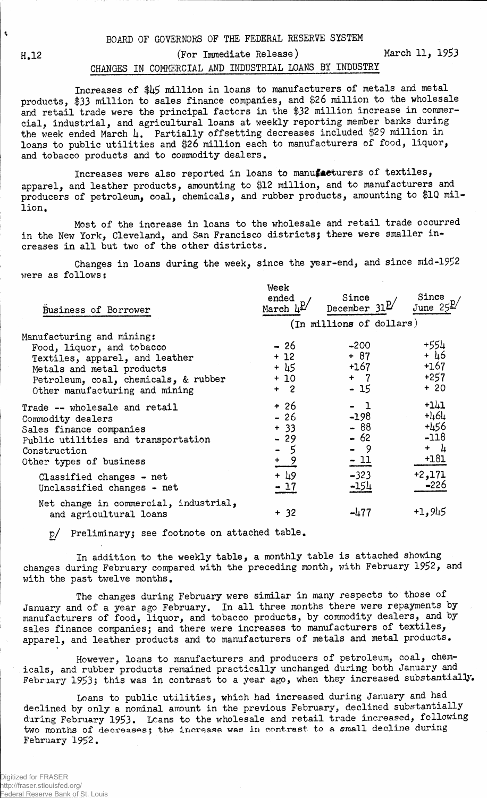H.12 (For Immediate Release) March 11, 1953

## CHANGES IN COMMERCIAL AND INDUSTRIAL LOANS BY INDUSTRY

Increases of  $\frac{1}{2}$  million in loans to manufacturers of metals and metal products, \$33 million to sales finance companies, and \$26 million to the wholesale and retail trade were the principal factors in the \$32 million increase in commercial, industrial, and agricultural loans at weekly reporting member banks during the week ended March  $\mu$ . Partially offsetting decreases included \$29 million in loans to public utilities and \$26 million each to manufacturers of food, liquor, and tobacco products and to commodity dealers.

Increases were also reported in loans to manufacturers of textiles, apparel, and leather products, amounting to \$12 million, and to manufacturers and producers of petroleum, coal, chemicals, and rubber products, amounting to \$1Q million.

Most of the increase in loans to the wholesale and retail trade occurred in the New York, Cleveland, and San Francisco districts; there were smaller increases in all but two of the other districts.

Changes in loans during the week, since the year-end, and since mid-1952 were as follows:

| Business of Borrower                                                                                                                                                                            | Week<br>ended<br>March                                   | Since<br>December $31^{\underline{p}}$          | Since<br>June $25$                                        |
|-------------------------------------------------------------------------------------------------------------------------------------------------------------------------------------------------|----------------------------------------------------------|-------------------------------------------------|-----------------------------------------------------------|
|                                                                                                                                                                                                 |                                                          | (In millions of dollars)                        |                                                           |
| Manufacturing and mining:<br>Food, liquor, and tobacco<br>Textiles, apparel, and leather<br>Metals and metal products<br>Petroleum, coal, chemicals, & rubber<br>Other manufacturing and mining | - 26<br>$+12$<br>$+ 45$<br>$+10$<br>$+2$                 | $-200$<br>$+ 87$<br>+167<br>$+ 7$<br>- 15       | +554<br>$+ 46$<br>$+167$<br>$+257$<br>$+20$               |
| Trade -- wholesale and retail<br>Commodity dealers<br>Sales finance companies<br>Public utilities and transportation<br>Construction<br>Other types of business                                 | $+26$<br>$-26$<br>$+33$<br>$-29$<br>- 5<br>$\frac{+}{-}$ | - 1<br>$-198$<br>$-88$<br>$-62$<br>- 9<br>$-11$ | $+141$<br>$+464$<br>+456<br>$-118$<br>$+$ $\mu$<br>$+181$ |
| Classified changes - net<br>Unclassified changes - net                                                                                                                                          | $+ \frac{19}{2}$<br>$-17$                                | $-323$<br>$-154$                                | $+2,171$<br>$-226$                                        |
| Net change in commercial, industrial,<br>and agricultural loans                                                                                                                                 | $+ 32$                                                   | $-477$                                          | $+1,945$                                                  |

p/ Preliminary; see footnote on at table.

In addition to the weekly table, a monthly table is attached showing changes during February compared with the preceding month, with February 1952, and with the past twelve months.

The changes during February were similar in many respects to those of January and of a year ago February. In all three months there were repayments by manufacturers of food, liquor, and tobacco products, by commodity dealers, and by sales finance companies; and there were increases to manufacturers of textiles, apparel, and leather products and to manufacturers of metals and metal products.

However, loans to manufacturers and producers of petroleum, coal, chemicals, and rubber products remained practically unchanged during both January and February 1953; this was in contrast to a year ago, when they increased substantially.

Loans to public utilities, which had increased during January and had declined by only a nominal amount in the previous February, declined substantially during February 1953. Leans to the wholesale and retail trade increased, following two months of decreases; the increase was in contrast to a small decline during February 1952.

 $\hat{\mathbf{v}}$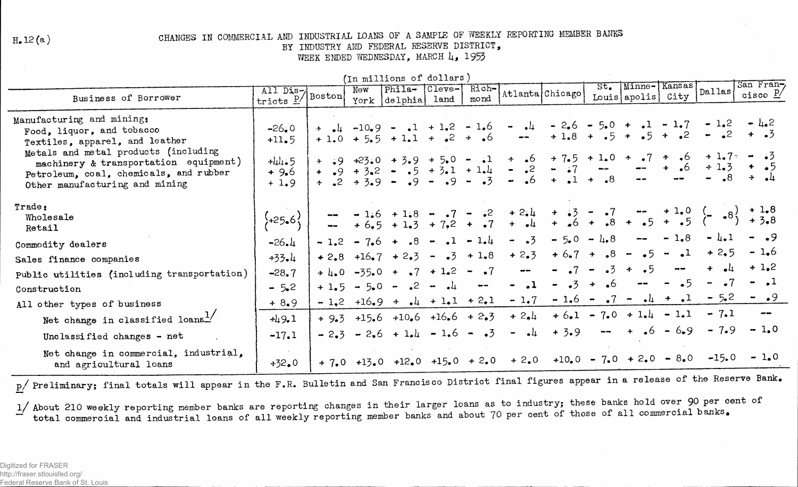$H<sub>e</sub>12(a)$ 

## CHANGES IN COMMERCIAL AND INDUSTRIAL LOANS OF A SAMPLE OF WEEKLY REPORTING MEMBER BANKS

BY INDUSTRY AND FEDERAL RESERVE DISTRICT.

WEEK ENDED WEDNESDAY, MARCH 4, 1953

| (In millions of dollars)                                                                                                         |                                  |                          |     |                                                                                                                                     |                |               |                                                                   |                                                                                                                                     |                      |                               |                                  |                                |                                  |
|----------------------------------------------------------------------------------------------------------------------------------|----------------------------------|--------------------------|-----|-------------------------------------------------------------------------------------------------------------------------------------|----------------|---------------|-------------------------------------------------------------------|-------------------------------------------------------------------------------------------------------------------------------------|----------------------|-------------------------------|----------------------------------|--------------------------------|----------------------------------|
| Business of Borrower                                                                                                             | All Dis-<br>tricts $\frac{p}{q}$ | $\sqrt{\texttt{Boston}}$ | New | Phila- Cleve-<br>York delphia                                                                                                       | land           | Rich-<br>mond |                                                                   | Atlanta Chicago                                                                                                                     | $St_{\bullet}$       | Minne-Kansas<br>Louis  apolis | City                             | Dallas                         | San Fran-<br>cisco $\frac{p}{q}$ |
| Manufacturing and mining:<br>Food, liquor, and tobacco<br>Textiles, apparel, and leather<br>Metals and metal products (including | $-26.0$<br>$+11.5$<br>$+44.5$    |                          |     | $+$ $\frac{1}{2}$ $-10$ $-9$ $ \frac{1}{2}$ $+$ $1$ $-2$ $ 1$ $-6$<br>$+1.0 + 5.5 + 1.1 + .2 + .6$<br>$+$ :9 +23.0 + 3.9 + 5.0 - :1 |                |               | $  4$<br>$\frac{1}{2}$ and $\frac{1}{2}$                          | $+$ $\frac{1}{2}6$ $+$ $7\frac{1}{4}5$ $+$ $1\frac{1}{4}0$ $+$ $\frac{1}{2}7$ $+$ $\frac{1}{2}6$ $+$ $1\frac{1}{2}7$ $ \frac{3}{2}$ |                      | $+1.8 + .5 + .5 + .2$         |                                  | $-2.6 = 5.0 + 1 - 1.7 - 1.2$   | $-1.2$<br>$-2 + 3$               |
| machinery & transportation equipment)<br>Petroleum, coal, chemicals, and rubber<br>Other manufacturing and mining                | $+9.6$<br>$+1.9$                 |                          |     | + $\frac{1}{2}$ + 3.2 = $\frac{1}{2}$ + 3.1 + 1.4<br>$+$ $\bullet$ 2 $+$ 3 $\bullet$ 9 $ \bullet$ 9 $ \bullet$ 9 $ \bullet$ 3       |                |               | $\sim$ .2<br>$\frac{1}{2}$ and $\frac{1}{2}$                      | $ -7$<br>$6 + 1$                                                                                                                    | $+$ $\bullet$ 8      |                               | $+$ .6                           | $+1.3$<br>$\cdot$ <sup>8</sup> | ・ キー・カ<br>$\pm$ $\bullet$ 4      |
| Trade:<br>Wholesale<br>Retail                                                                                                    | $\frac{1}{2}+25.6\frac{1}{2}$    |                          |     | $  1.6 + 1.8 - 7 - 2$<br>$ + 6.5 + 1.3 + 7.2 + 7$                                                                                   |                |               |                                                                   | $+2.4$ $+ 3 - 7$ $- 1.0$<br>+ $.4$ $+ 3$ $- 3$ $- 3$ $- 5$ $- 5$                                                                    |                      |                               |                                  |                                | $-$ + 1.0 $(-8)$ + 1.8           |
| Commodity dealers                                                                                                                | $-26.4$                          | $-1.2$                   |     | $-7.6 + .8$                                                                                                                         | $-1 - 1 - 1.4$ |               | $- 1.3$                                                           | $-5.0 - 4.8$                                                                                                                        |                      | $\sim$ $\sim$                 | $-1.8$                           | $- 4.1$                        | $- 0.9$                          |
| Sales finance companies                                                                                                          | $+33.4$                          | $+2.8$                   |     | $+16.7 + 2.3$                                                                                                                       | $-23 + 1.8$    |               | $+2.3$                                                            |                                                                                                                                     |                      | $+6.7 + .8 - .5$              | $\mathbf{I}$<br>$\bullet\bullet$ | $+2,5$                         | $-1.6$                           |
| Public utilities (including transportation)                                                                                      | $-28.7$                          | $+ \mu_{\bullet} 0$      |     | $-35.0 + 7 + 1.2 - 7$                                                                                                               |                |               | $\frac{1}{2}$                                                     | $- 27$                                                                                                                              | $\cdot$ 3<br>$\sim$  | 4.5                           |                                  |                                | $+1.2$                           |
| Construction                                                                                                                     | $-5.2$                           | $+1.5$                   |     | $-5.0 - .2 - .4$                                                                                                                    |                | $\sim$ $\sim$ | $-1$                                                              | $- 0.3$                                                                                                                             | - 6<br>$\rightarrow$ | $\frac{1}{2}$                 | $\overline{5}$                   |                                | $-$ ,1                           |
| All other types of business                                                                                                      | $+8.9$                           |                          |     | $-1,2$ +16.9 + $+1$ + 1.1 + 2.1                                                                                                     |                |               | $-1,7$                                                            | $-1.6 - 7$                                                                                                                          |                      | $\bullet$<br>$\bullet$ 4      | $+$ $\cdot$ 1                    | $-5.2$                         | $ \bullet$ 9                     |
| Net change in classified loans.                                                                                                  | $+49.1$                          |                          |     | $+9.3 +15.6 +10.6 +16.6 +2.3$                                                                                                       |                |               | $+ 2.4$                                                           |                                                                                                                                     |                      | $+6.1 - 7.0 + 1.4 - 1.1$      |                                  | $-7.1$                         |                                  |
| Unclassified changes - net                                                                                                       | $-17.1$                          |                          |     | $-2.3 - 2.6 + 1.4 - 1.6 - .3$                                                                                                       |                |               | $  +$                                                             | $+3.9$                                                                                                                              | $\frac{1}{2}$        |                               | $+ 6 - 6.9$                      | $-7.9$                         | $-1.0$                           |
| Net change in commercial, industrial,<br>and agricultural loans                                                                  | $+32.0$                          |                          |     |                                                                                                                                     |                |               | + 7.0 +13.0 +12.0 +15.0 + 2.0 + 2.0 +10.0 - 7.0 + 2.0 - 8.0 -15.0 |                                                                                                                                     |                      |                               |                                  |                                | $-1.0$                           |

p/ Preliminary; final totals will appear in the F.R. Bulletin and San Francisco District final figures appear in a release of the Reserve Bank.

1/ About 210 weekly reporting member banks are reporting changes in their larger loans as to industry; these banks hold over 90 per cent of total commercial and industrial loans of all weekly reporting member banks and about 70 per cent of those of all commercial banks.